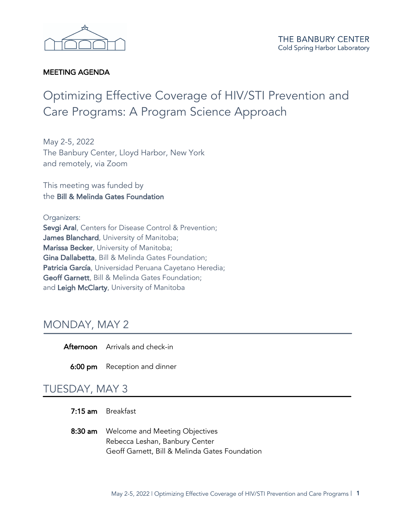

### MEETING AGENDA

# Optimizing Effective Coverage of HIV/STI Prevention and Care Programs: A Program Science Approach

May 2-5, 2022 The Banbury Center, Lloyd Harbor, New York and remotely, via Zoom

This meeting was funded by the Bill & Melinda Gates Foundation

#### Organizers:

Sevgi Aral, Centers for Disease Control & Prevention; James Blanchard, University of Manitoba; Marissa Becker, University of Manitoba; Gina Dallabetta, Bill & Melinda Gates Foundation; Patricia García, Universidad Peruana Cayetano Heredia; Geoff Garnett, Bill & Melinda Gates Foundation; and Leigh McClarty, University of Manitoba

## MONDAY, MAY 2

Afternoon Arrivals and check-in

6:00 pm Reception and dinner

### TUESDAY, MAY 3

- 7:15 am Breakfast
- 8:30 am Welcome and Meeting Objectives Rebecca Leshan, Banbury Center Geoff Garnett, Bill & Melinda Gates Foundation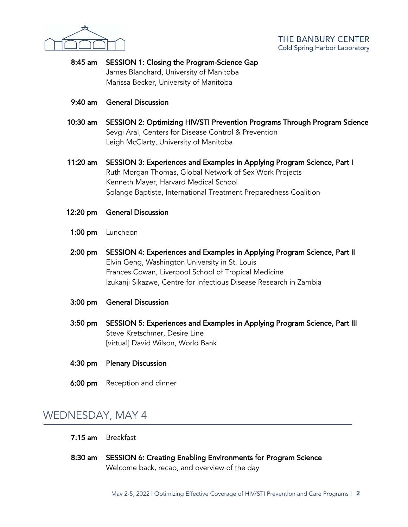

- 8:45 am SESSION 1: Closing the Program-Science Gap James Blanchard, University of Manitoba Marissa Becker, University of Manitoba
- 9:40 am General Discussion
- 10:30 am SESSION 2: Optimizing HIV/STI Prevention Programs Through Program Science Sevgi Aral, Centers for Disease Control & Prevention Leigh McClarty, University of Manitoba
- 11:20 am SESSION 3: Experiences and Examples in Applying Program Science, Part I Ruth Morgan Thomas, Global Network of Sex Work Projects Kenneth Mayer, Harvard Medical School Solange Baptiste, International Treatment Preparedness Coalition
- 12:20 pm General Discussion
- 1:00 pm Luncheon
- 2:00 pm SESSION 4: Experiences and Examples in Applying Program Science, Part II Elvin Geng, Washington University in St. Louis Frances Cowan, Liverpool School of Tropical Medicine Izukanji Sikazwe, Centre for Infectious Disease Research in Zambia
- 3:00 pm General Discussion
- 3:50 pm SESSION 5: Experiences and Examples in Applying Program Science, Part III Steve Kretschmer, Desire Line [virtual] David Wilson, World Bank
- 4:30 pm Plenary Discussion
- **6:00 pm** Reception and dinner

### WEDNESDAY, MAY 4

- 7:15 am Breakfast
- 8:30 am SESSION 6: Creating Enabling Environments for Program Science Welcome back, recap, and overview of the day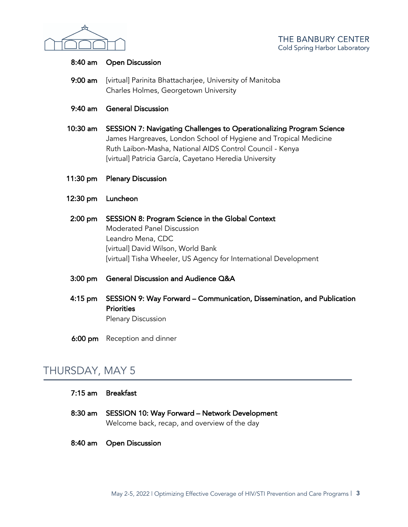

#### 8:40 am Open Discussion

- 9:00 am [virtual] Parinita Bhattacharjee, University of Manitoba Charles Holmes, Georgetown University
- 9:40 am General Discussion
- 10:30 am SESSION 7: Navigating Challenges to Operationalizing Program Science James Hargreaves, London School of Hygiene and Tropical Medicine Ruth Laibon-Masha, National AIDS Control Council - Kenya [virtual] Patricia García, Cayetano Heredia University
- 11:30 pm Plenary Discussion
- 12:30 pm Luncheon
- 2:00 pm SESSION 8: Program Science in the Global Context Moderated Panel Discussion Leandro Mena, CDC [virtual] David Wilson, World Bank [virtual] Tisha Wheeler, US Agency for International Development
- 3:00 pm General Discussion and Audience Q&A
- 4:15 pm SESSION 9: Way Forward Communication, Dissemination, and Publication **Priorities** Plenary Discussion
- 6:00 pm Reception and dinner

# THURSDAY, MAY 5

| 7:15 am Breakfast<br>8:30 am SESSION 10: Way Forward - Network Development |
|----------------------------------------------------------------------------|
| Welcome back, recap, and overview of the day<br>8:40 am Open Discussion    |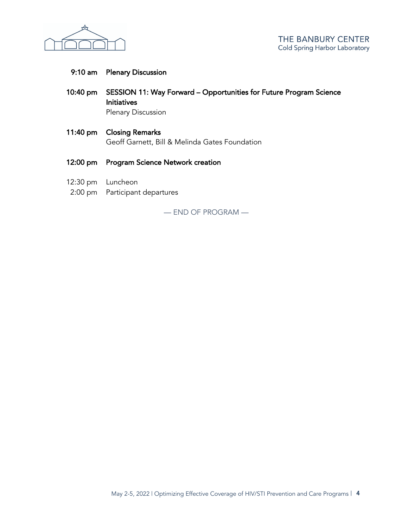

### 9:10 am Plenary Discussion

- 10:40 pm SESSION 11: Way Forward Opportunities for Future Program Science Initiatives Plenary Discussion
- 11:40 pm Closing Remarks Geoff Garnett, Bill & Melinda Gates Foundation
- 12:00 pm Program Science Network creation
- 12:30 pm Luncheon
- 2:00 pm Participant departures

— END OF PROGRAM —